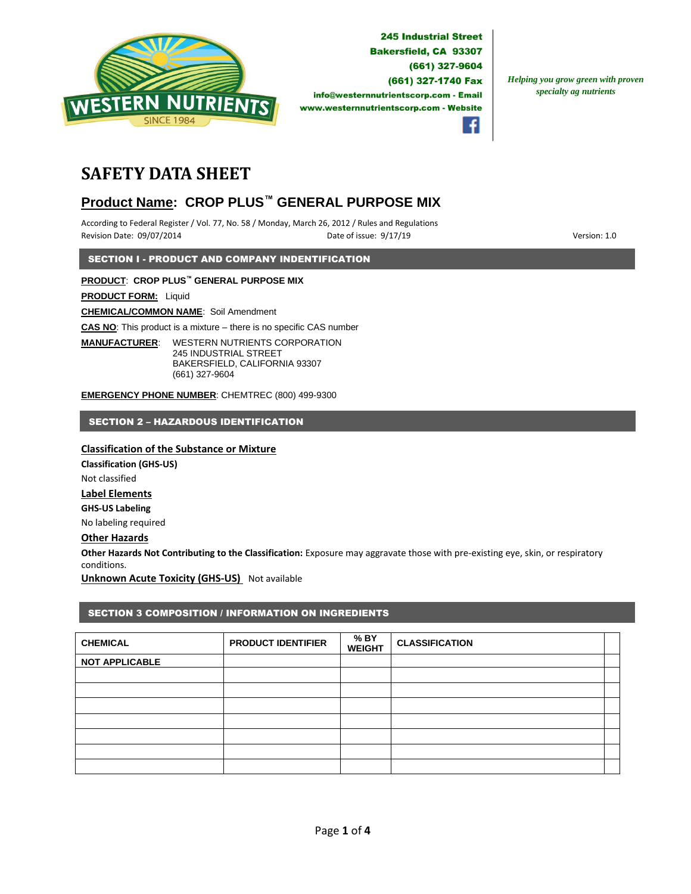

**245 Industrial Street Bakersfield, CA 93307** (661) 327-9604 (661) 327-1740 Fax info@westernnutrientscorp.com - Email www.westernnutrientscorp.com - Website

*Helping you grow green with proven specialty ag nutrients*



# **SAFETY DATA SHEET**

# **Product Name: CROP PLUS™ GENERAL PURPOSE MIX**

According to Federal Register / Vol. 77, No. 58 / Monday, March 26, 2012 / Rules and Regulations Revision Date: 09/07/2014 **Date of issue: 9/17/19** Particle of issue: 9/17/19 **Particle of issue: 9/17/19** Version: 1.0

SECTION I - PRODUCT AND COMPANY INDENTIFICATION

## **PRODUCT**: **CROP PLUS™ GENERAL PURPOSE MIX**

**PRODUCT FORM:** Liquid

**CHEMICAL/COMMON NAME**: Soil Amendment

**CAS NO**: This product is a mixture – there is no specific CAS number

**MANUFACTURER**: WESTERN NUTRIENTS CORPORATION 245 INDUSTRIAL STREET BAKERSFIELD, CALIFORNIA 93307 (661) 327-9604

**EMERGENCY PHONE NUMBER**: CHEMTREC (800) 499-9300

## SECTION 2 – HAZARDOUS IDENTIFICATION

## **Classification of the Substance or Mixture**

**Classification (GHS-US)** Not classified **Label Elements GHS-US Labeling** No labeling required

## **Other Hazards**

**Other Hazards Not Contributing to the Classification:** Exposure may aggravate those with pre-existing eye, skin, or respiratory conditions.

**Unknown Acute Toxicity (GHS-US)** Not available

## SECTION 3 COMPOSITION / INFORMATION ON INGREDIENTS

| <b>CHEMICAL</b>       | <b>PRODUCT IDENTIFIER</b> | % BY<br><b>WEIGHT</b> | <b>CLASSIFICATION</b> |  |
|-----------------------|---------------------------|-----------------------|-----------------------|--|
| <b>NOT APPLICABLE</b> |                           |                       |                       |  |
|                       |                           |                       |                       |  |
|                       |                           |                       |                       |  |
|                       |                           |                       |                       |  |
|                       |                           |                       |                       |  |
|                       |                           |                       |                       |  |
|                       |                           |                       |                       |  |
|                       |                           |                       |                       |  |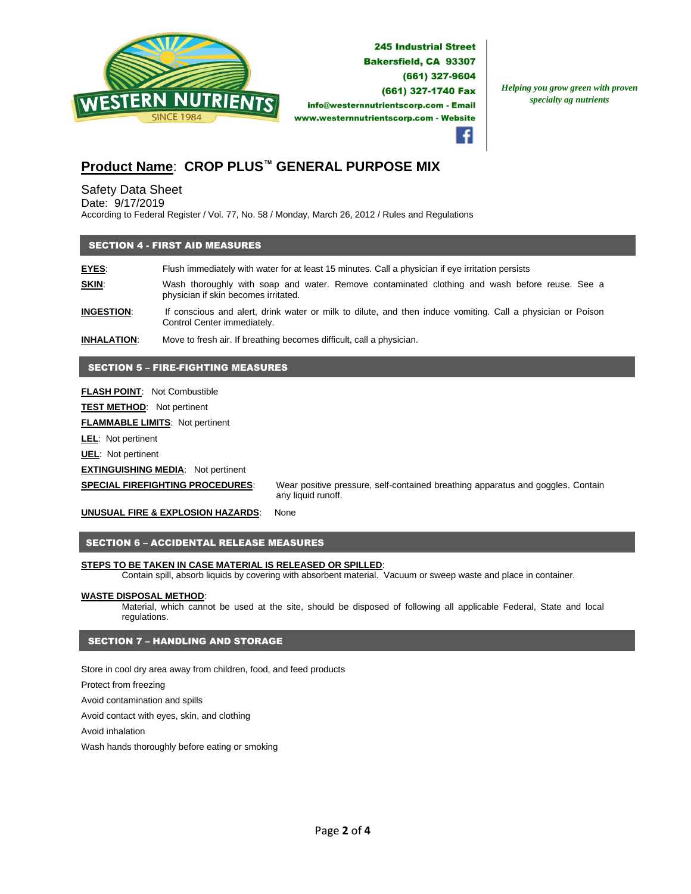

*Helping you grow green with proven specialty ag nutrients*

## **Product Name**: **CROP PLUS™ GENERAL PURPOSE MIX**

Safety Data Sheet

Date: 9/17/2019

According to Federal Register / Vol. 77, No. 58 / Monday, March 26, 2012 / Rules and Regulations

## SECTION 4 - FIRST AID MEASURES

**EYES:** Flush immediately with water for at least 15 minutes. Call a physician if eye irritation persists **SKIN:** Wash thoroughly with soap and water. Remove contaminated clothing and wash before reuse. See a physician if skin becomes irritated.

**INGESTION**: If conscious and alert, drink water or milk to dilute, and then induce vomiting. Call a physician or Poison Control Center immediately.

**INHALATION**: Move to fresh air. If breathing becomes difficult, call a physician.

## SECTION 5 – FIRE-FIGHTING MEASURES

**FLASH POINT**: Not Combustible

**TEST METHOD**: Not pertinent

**FLAMMABLE LIMITS**: Not pertinent

**LEL**: Not pertinent

**UEL**: Not pertinent

#### **EXTINGUISHING MEDIA:** Not pertinent

**SPECIAL FIREFIGHTING PROCEDURES**: Wear positive pressure, self-contained breathing apparatus and goggles. Contain any liquid runoff.

**UNUSUAL FIRE & EXPLOSION HAZARDS**: None

## SECTION 6 – ACCIDENTAL RELEASE MEASURES

#### **STEPS TO BE TAKEN IN CASE MATERIAL IS RELEASED OR SPILLED**:

Contain spill, absorb liquids by covering with absorbent material. Vacuum or sweep waste and place in container.

#### **WASTE DISPOSAL METHOD**:

Material, which cannot be used at the site, should be disposed of following all applicable Federal, State and local regulations.

#### SECTION 7 – HANDLING AND STORAGE

Store in cool dry area away from children, food, and feed products

Protect from freezing

Avoid contamination and spills

Avoid contact with eyes, skin, and clothing

Avoid inhalation

Wash hands thoroughly before eating or smoking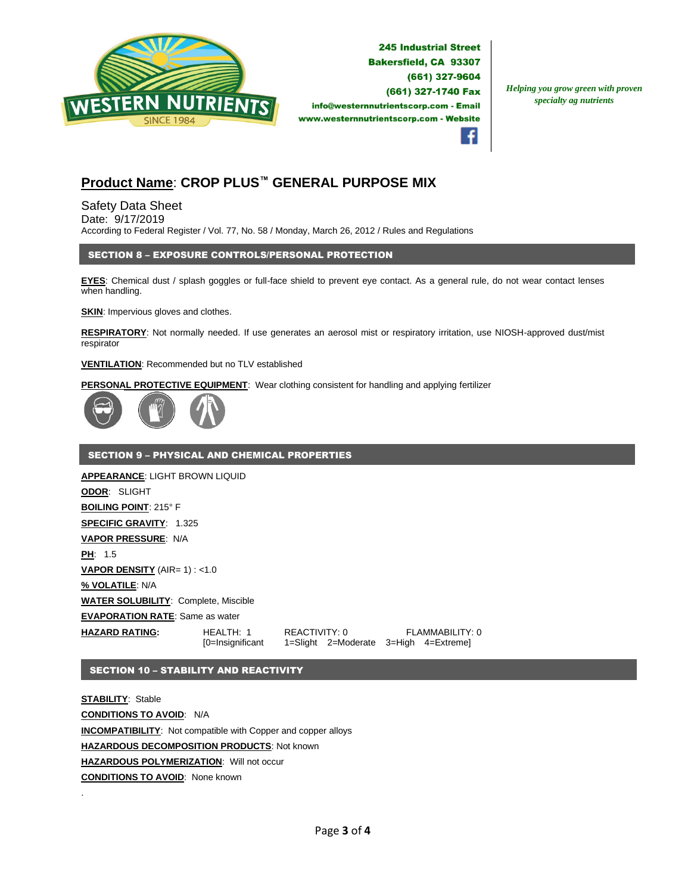

**245 Industrial Street** Bakersfield, CA 93307 (661) 327-9604 (661) 327-1740 Fax info@westernnutrientscorp.com - Email www.westernnutrientscorp.com - Website

*Helping you grow green with proven specialty ag nutrients*



## **Product Name**: **CROP PLUS™ GENERAL PURPOSE MIX**

Safety Data Sheet Date: 9/17/2019 According to Federal Register / Vol. 77, No. 58 / Monday, March 26, 2012 / Rules and Regulations

## SECTION 8 – EXPOSURE CONTROLS/PERSONAL PROTECTION

**EYES**: Chemical dust / splash goggles or full-face shield to prevent eye contact. As a general rule, do not wear contact lenses when handling.

**SKIN:** Impervious gloves and clothes.

**RESPIRATORY**: Not normally needed. If use generates an aerosol mist or respiratory irritation, use NIOSH-approved dust/mist respirator

#### **VENTILATION**: Recommended but no TLV established

**PERSONAL PROTECTIVE EQUIPMENT**: Wear clothing consistent for handling and applying fertilizer



## SECTION 9 – PHYSICAL AND CHEMICAL PROPERTIES

**APPEARANCE**: LIGHT BROWN LIQUID **ODOR**: SLIGHT **BOILING POINT**: 215° F **SPECIFIC GRAVITY**: 1.325 **VAPOR PRESSURE**: N/A **PH**: 1.5 **VAPOR DENSITY** (AIR= 1) : <1.0 **% VOLATILE**: N/A **WATER SOLUBILITY**: Complete, Miscible **EVAPORATION RATE**: Same as water **HAZARD RATING:** HEALTH: 1 REACTIVITY: 0 FLAMMABILITY: 0 [0=Insignificant 1=Slight 2=Moderate 3=High 4=Extreme]

## SECTION 10 – STABILITY AND REACTIVITY

.

**STABILITY**: Stable **CONDITIONS TO AVOID**: N/A **INCOMPATIBILITY**: Not compatible with Copper and copper alloys **HAZARDOUS DECOMPOSITION PRODUCTS**: Not known **HAZARDOUS POLYMERIZATION**: Will not occur **CONDITIONS TO AVOID**: None known